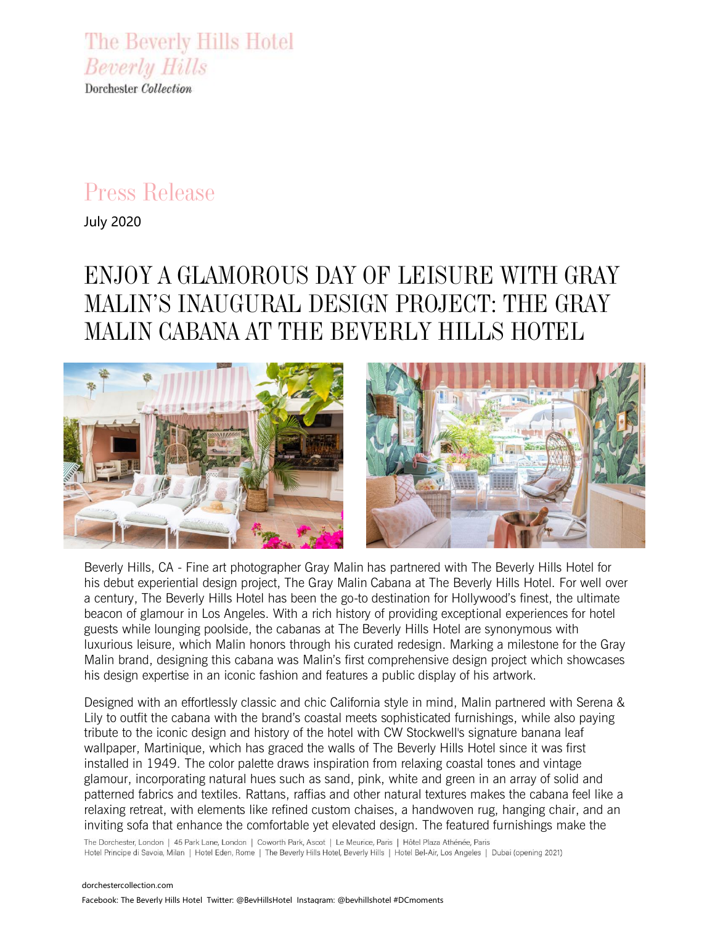The Beverly Hills Hotel **Beverly Hills** Dorchester Collection

## *Press Release*

July 2020

# *ENJOY A GLAMOROUS DAY OF LEISURE WITH GRAY MALIN'S INAUGURAL DESIGN PROJECT: THE GRAY MALIN CABANA AT THE BEVERLY HILLS HOTEL*



Beverly Hills, CA - Fine art photographer Gray Malin has partnered with The Beverly Hills Hotel for his debut experiential design project, The Gray Malin Cabana at The Beverly Hills Hotel. For well over a century, The Beverly Hills Hotel has been the go-to destination for Hollywood's finest, the ultimate beacon of glamour in Los Angeles. With a rich history of providing exceptional experiences for hotel guests while lounging poolside, the cabanas at The Beverly Hills Hotel are synonymous with luxurious leisure, which Malin honors through his curated redesign. Marking a milestone for the Gray Malin brand, designing this cabana was Malin's first comprehensive design project which showcases his design expertise in an iconic fashion and features a public display of his artwork.

Designed with an effortlessly classic and chic California style in mind, Malin partnered with Serena & Lily to outfit the cabana with the brand's coastal meets sophisticated furnishings, while also paying tribute to the iconic design and history of the hotel with CW Stockwell's signature banana leaf wallpaper, Martinique, which has graced the walls of The Beverly Hills Hotel since it was first installed in 1949. The color palette draws inspiration from relaxing coastal tones and vintage glamour, incorporating natural hues such as sand, pink, white and green in an array of solid and patterned fabrics and textiles. Rattans, raffias and other natural textures makes the cabana feel like a relaxing retreat, with elements like refined custom chaises, a handwoven rug, hanging chair, and an inviting sofa that enhance the comfortable yet elevated design. The featured furnishings make the

The Dorchester, London | 45 Park Lane, London | Coworth Park, Ascot | Le Meurice, Paris | Hôtel Plaza Athénée, Paris Hotel Principe di Savoia, Milan | Hotel Eden, Rome | The Beverly Hills Hotel, Beverly Hills | Hotel Bel-Air, Los Angeles | Dubai (opening 2021)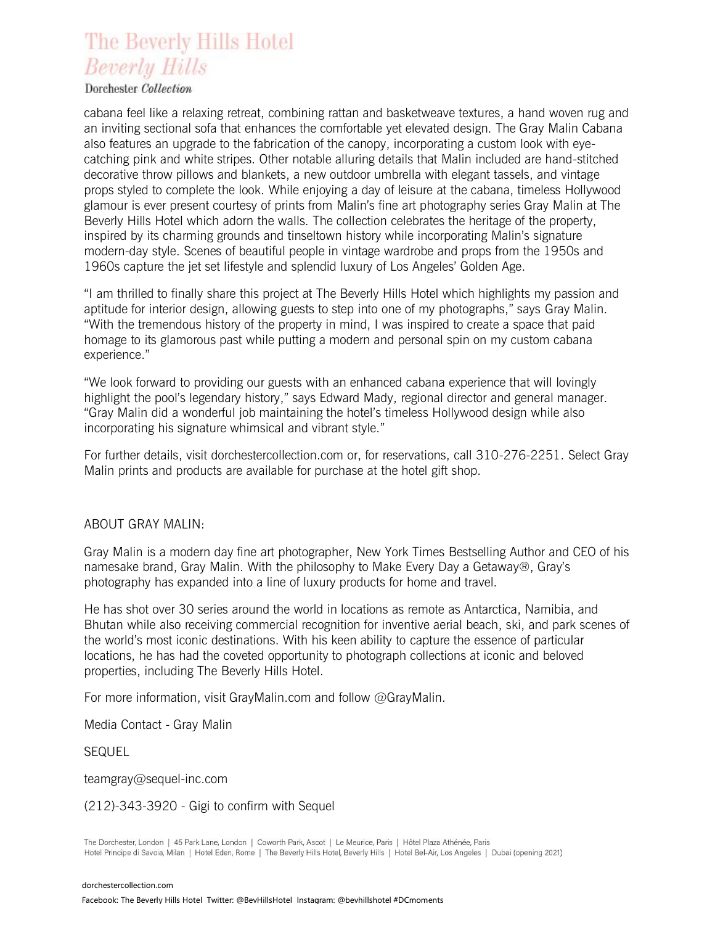## The Beverly Hills Hotel **Beverly Hills**

#### Dorchester Collection

cabana feel like a relaxing retreat, combining rattan and basketweave textures, a hand woven rug and an inviting sectional sofa that enhances the comfortable yet elevated design. The Gray Malin Cabana also features an upgrade to the fabrication of the canopy, incorporating a custom look with eyecatching pink and white stripes. Other notable alluring details that Malin included are hand-stitched decorative throw pillows and blankets, a new outdoor umbrella with elegant tassels, and vintage props styled to complete the look. While enjoying a day of leisure at the cabana, timeless Hollywood glamour is ever present courtesy of prints from Malin's fine art photography series Gray Malin at The Beverly Hills Hotel which adorn the walls. The collection celebrates the heritage of the property, inspired by its charming grounds and tinseltown history while incorporating Malin's signature modern-day style. Scenes of beautiful people in vintage wardrobe and props from the 1950s and 1960s capture the jet set lifestyle and splendid luxury of Los Angeles' Golden Age.

"I am thrilled to finally share this project at The Beverly Hills Hotel which highlights my passion and aptitude for interior design, allowing guests to step into one of my photographs," says Gray Malin. "With the tremendous history of the property in mind, I was inspired to create a space that paid homage to its glamorous past while putting a modern and personal spin on my custom cabana experience."

"We look forward to providing our guests with an enhanced cabana experience that will lovingly highlight the pool's legendary history," says Edward Mady, regional director and general manager. "Gray Malin did a wonderful job maintaining the hotel's timeless Hollywood design while also incorporating his signature whimsical and vibrant style."

For further details, visit dorchestercollection.com or, for reservations, call 310-276-2251. Select Gray Malin prints and products are available for purchase at the hotel gift shop.

#### ABOUT GRAY MALIN:

Gray Malin is a modern day fine art photographer, New York Times Bestselling Author and CEO of his namesake brand, Gray Malin. With the philosophy to Make Every Day a Getaway®, Gray's photography has expanded into a line of luxury products for home and travel.

He has shot over 30 series around the world in locations as remote as Antarctica, Namibia, and Bhutan while also receiving commercial recognition for inventive aerial beach, ski, and park scenes of the world's most iconic destinations. With his keen ability to capture the essence of particular locations, he has had the coveted opportunity to photograph collections at iconic and beloved properties, including The Beverly Hills Hotel.

For more information, visit GrayMalin.com and follow @GrayMalin.

Media Contact - Gray Malin

SEQUEL

teamgray@sequel-inc.com

(212)-343-3920 - Gigi to confirm with Sequel

The Dorchester, London | 45 Park Lane, London | Coworth Park, Ascot | Le Meurice, Paris | Hôtel Plaza Athénée, Paris Hotel Principe di Savoia, Milan | Hotel Eden, Rome | The Beverly Hills Hotel, Beverly Hills | Hotel Bel-Air, Los Angeles | Dubai (opening 2021)